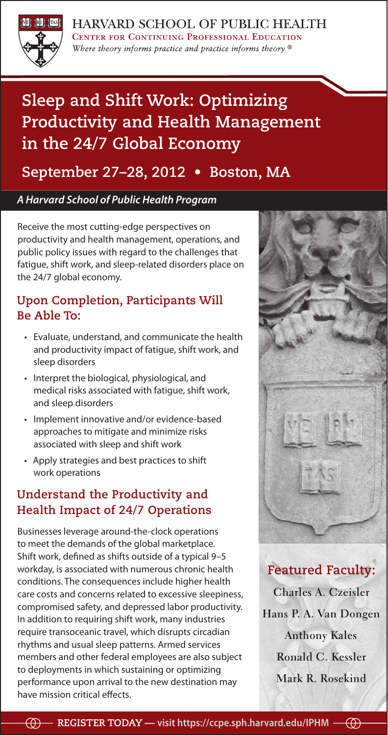

HARVARD SCHOOL OF PUBLIC HEALTH **CENTER FOR CONTINUING PROFESSIONAL EDUCATION** Where theory informs practice and practice informs theory  $\mathcal{D}$ 

### **Sleep and Shift Work: Optimizing Productivity and Health Management in the 24/7 Global Economy**

### **September 27–28, 2012 • Boston, MA**

### *A Harvard School of Public Health Program*

Receive the most cutting-edge perspectives on productivity and health management, operations, and public policy issues with regard to the challenges that fatigue, shift work, and sleep-related disorders place on the 24/7 global economy.

### **Upon Completion, Participants Will Be Able To:**

- • Evaluate, understand, and communicate the health and productivity impact of fatigue, shift work, and sleep disorders
- • Interpret the biological, physiological, and medical risks associated with fatigue, shift work, and sleep disorders
- • Implement innovative and/or evidence-based approaches to mitigate and minimize risks associated with sleep and shift work
- • Apply strategies and best practices to shift work operations

### **Understand the Productivity and Health Impact of 24/7 Operations**

Businesses leverage around-the-clock operations to meet the demands of the global marketplace. Shift work, defined as shifts outside of a typical 9–5 workday, is associated with numerous chronic health conditions. The consequences include higher health care costs and concerns related to excessive sleepiness, compromised safety, and depressed labor productivity. In addition to requiring shift work, many industries require transoceanic travel, which disrupts circadian rhythms and usual sleep patterns. Armed services members and other federal employees are also subject to deployments in which sustaining or optimizing performance upon arrival to the new destination may have mission critical effects.



### **Featured Faculty:**

**Charles A. Czeisler Hans P. A. Van Dongen Anthony Kales Ronald C. Kessler Mark R. Rosekind**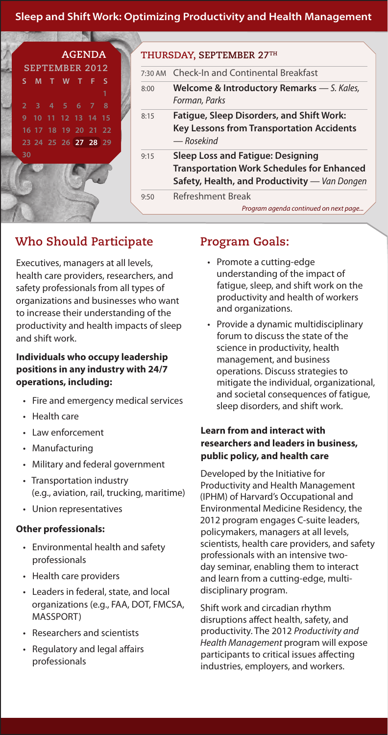**Sleep and Shift Work: Optimizing Productivity and Health Management Register Today — visit https://ccpe.sph.harvard.edu/IPHM**



### **THURSDAY, SEPTEMBER 27th**

| $7:30$ AM | <b>Check-In and Continental Breakfast</b>                                                                                                      |
|-----------|------------------------------------------------------------------------------------------------------------------------------------------------|
| 8:00      | Welcome & Introductory Remarks - S. Kales,<br>Forman, Parks                                                                                    |
| 8:15      | <b>Fatigue, Sleep Disorders, and Shift Work:</b><br><b>Key Lessons from Transportation Accidents</b><br>— Rosekind                             |
| 9:15      | <b>Sleep Loss and Fatigue: Designing</b><br><b>Transportation Work Schedules for Enhanced</b><br>Safety, Health, and Productivity - Van Dongen |
| 9:50      | Refreshment Break<br>Program agenda continued on next page $\angle$                                                                            |

### **Who Should Participate**

Executives, managers at all levels, health care providers, researchers, and safety professionals from all types of organizations and businesses who want to increase their understanding of the productivity and health impacts of sleep and shift work.

### **Individuals who occupy leadership positions in any industry with 24/7 operations, including:**

- • Fire and emergency medical services
- Health care
- • Law enforcement
- Manufacturing
- • Military and federal government
- • Transportation industry (e.g., aviation, rail, trucking, maritime)
- • Union representatives

### **Other professionals:**

- • Environmental health and safety professionals
- • Health care providers
- • Leaders in federal, state, and local organizations (e.g., FAA, DOT, FMCSA, MASSPORT)
- • Researchers and scientists
- Regulatory and legal affairs professionals

### **Program Goals:**

- • Promote a cutting-edge understanding of the impact of fatigue, sleep, and shift work on the productivity and health of workers and organizations.
- • Provide a dynamic multidisciplinary forum to discuss the state of the science in productivity, health management, and business operations. Discuss strategies to mitigate the individual, organizational, and societal consequences of fatigue, sleep disorders, and shift work.

### **Learn from and interact with researchers and leaders in business, public policy, and health care**

Developed by the Initiative for Productivity and Health Management (IPHM) of Harvard's Occupational and Environmental Medicine Residency, the 2012 program engages C-suite leaders, policymakers, managers at all levels, scientists, health care providers, and safety professionals with an intensive twoday seminar, enabling them to interact and learn from a cutting-edge, multidisciplinary program.

Shift work and circadian rhythm disruptions affect health, safety, and productivity. The 2012 *Productivity and Health Management* program will expose participants to critical issues affecting industries, employers, and workers.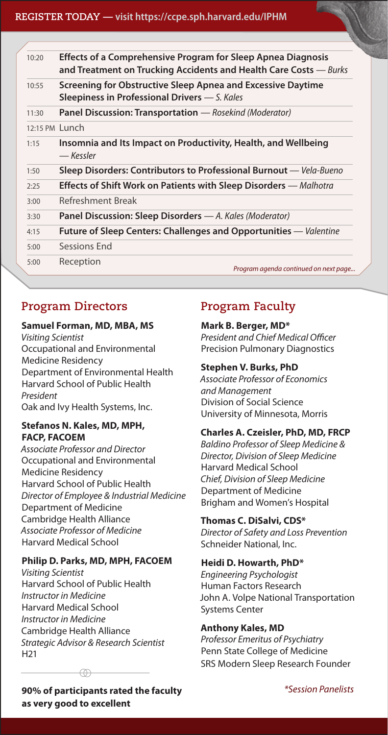### **Sleep and Shift Work: Optimizing Productivity and Health Management Register Today — visit https://ccpe.sph.harvard.edu/IPHM**

| 10:20                    | <b>Effects of a Comprehensive Program for Sleep Apnea Diagnosis</b><br>and Treatment on Trucking Accidents and Health Care Costs - Burks |
|--------------------------|------------------------------------------------------------------------------------------------------------------------------------------|
| 10:55                    | Screening for Obstructive Sleep Apnea and Excessive Daytime<br>Sleepiness in Professional Drivers - S. Kales                             |
| 11:30                    | <b>Panel Discussion: Transportation</b> — Rosekind (Moderator)                                                                           |
| $12:15 \text{ PM}$ Lunch |                                                                                                                                          |
| 1:15                     | Insomnia and Its Impact on Productivity, Health, and Wellbeing<br>— Kessler                                                              |
| 1:50                     | Sleep Disorders: Contributors to Professional Burnout - Vela-Bueno                                                                       |
| 2:25                     | <b>Effects of Shift Work on Patients with Sleep Disorders</b> — Malhotra                                                                 |
| 3:00                     | Refreshment Break                                                                                                                        |
| 3:30                     | Panel Discussion: Sleep Disorders - A. Kales (Moderator)                                                                                 |
| 4:15                     | <b>Future of Sleep Centers: Challenges and Opportunities</b> — <i>Valentine</i>                                                          |
| 5:00                     | Sessions End                                                                                                                             |
| 5:00                     | Reception<br>Program agenda continued on next page                                                                                       |

### **Program Directors**

### **Samuel Forman, MD, MBA, MS**

*Visiting Scientist*  Occupational and Environmental Medicine Residency Department of Environmental Health Harvard School of Public Health *President* Oak and Ivy Health Systems, Inc.

### **Stefanos N. Kales, MD, MPH, FACP, FACOEM**

*Associate Professor and Director*  Occupational and Environmental Medicine Residency Harvard School of Public Health *Director of Employee & Industrial Medicine*  Department of Medicine Cambridge Health Alliance *Associate Professor of Medicine*  Harvard Medical School

### **Philip D. Parks, MD, MPH, FACOEM**

*Visiting Scientist* Harvard School of Public Health *Instructor in Medicine*  Harvard Medical School *Instructor in Medicine* Cambridge Health Alliance *Strategic Advisor & Research Scientist*  H21

### **Program Faculty**

### **Mark B. Berger, MD\***

*President and Chief Medical Officer* Precision Pulmonary Diagnostics

### **Stephen V. Burks, PhD**

*Associate Professor of Economics and Management* Division of Social Science University of Minnesota, Morris

### **Charles A. Czeisler, PhD, MD, FRCP**

*Baldino Professor of Sleep Medicine & Director, Division of Sleep Medicine*  Harvard Medical School *Chief, Division of Sleep Medicine*  Department of Medicine Brigham and Women's Hospital

### **Thomas C. DiSalvi, CDS\***

*Director of Safety and Loss Prevention*  Schneider National, Inc.

### **Heidi D. Howarth, PhD\***

*Engineering Psychologist* Human Factors Research John A. Volpe National Transportation Systems Center

### **Anthony Kales, MD**

*Professor Emeritus of Psychiatry* Penn State College of Medicine SRS Modern Sleep Research Founder

**90% of participants rated the faculty as very good to excellent**

*\*Session Panelists*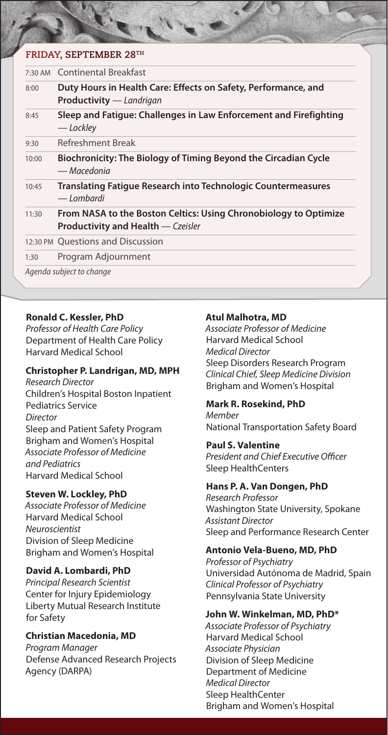### **FRIDAY, SEPTEMBER 28th**

| 7:30 AM Continental Breakfast                                                                                 |
|---------------------------------------------------------------------------------------------------------------|
| Duty Hours in Health Care: Effects on Safety, Performance, and<br><b>Productivity</b> — Landrigan             |
| Sleep and Fatigue: Challenges in Law Enforcement and Firefighting<br>— Lockley                                |
| Refreshment Break                                                                                             |
| Biochronicity: The Biology of Timing Beyond the Circadian Cycle<br>— Macedonia                                |
| <b>Translating Fatigue Research into Technologic Countermeasures</b><br>— Lombardi                            |
| From NASA to the Boston Celtics: Using Chronobiology to Optimize<br><b>Productivity and Health</b> - Czeisler |
| 12:30 PM Questions and Discussion                                                                             |
| Program Adjournment                                                                                           |
|                                                                                                               |

### **Ronald C. Kessler, PhD**

*Professor of Health Care Policy* Department of Health Care Policy Harvard Medical School

### **Christopher P. Landrigan, MD, MPH**

*Research Director*  Children's Hospital Boston Inpatient Pediatrics Service *Director*  Sleep and Patient Safety Program Brigham and Women's Hospital *Associate Professor of Medicine and Pediatrics*  Harvard Medical School

### **Steven W. Lockley, PhD**

*Associate Professor of Medicine* Harvard Medical School *Neuroscientist* Division of Sleep Medicine Brigham and Women's Hospital

### **David A. Lombardi, PhD**

*Principal Research Scientist*  Center for Injury Epidemiology Liberty Mutual Research Institute for Safety

### **Christian Macedonia, MD**

*Program Manager* Defense Advanced Research Projects Agency (DARPA)

### **Atul Malhotra, MD**

*Associate Professor of Medicine* Harvard Medical School *Medical Director* Sleep Disorders Research Program *Clinical Chief, Sleep Medicine Division*  Brigham and Women's Hospital

### **Mark R. Rosekind, PhD**

*Member* National Transportation Safety Board

### **Paul S. Valentine**

*President and Chief Executive Officer*  Sleep HealthCenters

### **Hans P. A. Van Dongen, PhD**

*Research Professor* Washington State University, Spokane *Assistant Director*  Sleep and Performance Research Center

### **Antonio Vela-Bueno, MD, PhD**

*Professor of Psychiatry* Universidad Autónoma de Madrid, Spain *Clinical Professor of Psychiatry*  Pennsylvania State University

### **John W. Winkelman, MD, PhD\***

*Associate Professor of Psychiatry* Harvard Medical School *Associate Physician* Division of Sleep Medicine Department of Medicine *Medical Director*  Sleep HealthCenter Brigham and Women's Hospital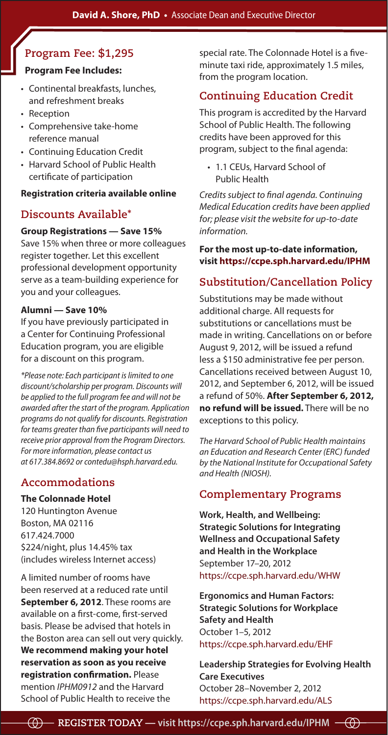### **Program Fee: \$1,295**

### **Program Fee Includes:**

- • Continental breakfasts, lunches, and refreshment breaks
- Reception
- • Comprehensive take-home reference manual
- • Continuing Education Credit
- Harvard School of Public Health certificate of participation

### **Registration criteria available online**

### **Discounts Available\***

### **Group Registrations — Save 15%**

Save 15% when three or more colleagues register together. Let this excellent professional development opportunity serve as a team-building experience for you and your colleagues.

### **Alumni — Save 10%**

If you have previously participated in a Center for Continuing Professional Education program, you are eligible for a discount on this program.

*\*Please note: Each participant is limited to one discount/scholarship per program. Discounts will be applied to the full program fee and will not be awarded after the start of the program. Application programs do not qualify for discounts. Registration for teams greater than five participants will need to receive prior approval from the Program Directors. For more information, please contact us at 617.384.8692 or contedu@hsph.harvard.edu.*

### **Accommodations**

### **The Colonnade Hotel**

120 Huntington Avenue Boston, MA 02116 617.424.7000 \$224/night, plus 14.45% tax (includes wireless Internet access)

A limited number of rooms have been reserved at a reduced rate until **September 6, 2012**. These rooms are available on a first-come, first-served basis. Please be advised that hotels in the Boston area can sell out very quickly. **We recommend making your hotel reservation as soon as you receive registration confirmation.** Please mention *IPHM0912* and the Harvard School of Public Health to receive the

special rate. The Colonnade Hotel is a fiveminute taxi ride, approximately 1.5 miles, from the program location.

### **Continuing Education Credit**

This program is accredited by the Harvard School of Public Health. The following credits have been approved for this program, subject to the final agenda:

• 1.1 CEUs, Harvard School of Public Health

*Credits subject to final agenda. Continuing Medical Education credits have been applied for; please visit the website for up-to-date information.*

### **For the most up-to-date information, visit https://ccpe.sph.harvard.edu/IPHM**

### **Substitution/Cancellation Policy**

Substitutions may be made without additional charge. All requests for substitutions or cancellations must be made in writing. Cancellations on or before August 9, 2012, will be issued a refund less a \$150 administrative fee per person. Cancellations received between August 10, 2012, and September 6, 2012, will be issued a refund of 50%. **After September 6, 2012, no refund will be issued.** There will be no exceptions to this policy.

*The Harvard School of Public Health maintains an Education and Research Center (ERC) funded by the National Institute for Occupational Safety and Health (NIOSH).*

### **Complementary Programs**

**Work, Health, and Wellbeing: Strategic Solutions for Integrating Wellness and Occupational Safety and Health in the Workplace**  September 17–20, 2012 https://ccpe.sph.harvard.edu/WHW

**Ergonomics and Human Factors: Strategic Solutions for Workplace Safety and Health**  October 1–5, 2012 https://ccpe.sph.harvard.edu/EHF

**Leadership Strategies for Evolving Health Care Executives** October 28–November 2, 2012 https://ccpe.sph.harvard.edu/ALS

 $\oplus$  $-$  REGISTER TODAY — visit https://ccpe.sph.harvard.edu/IPHM  $-\circled{\theta}$